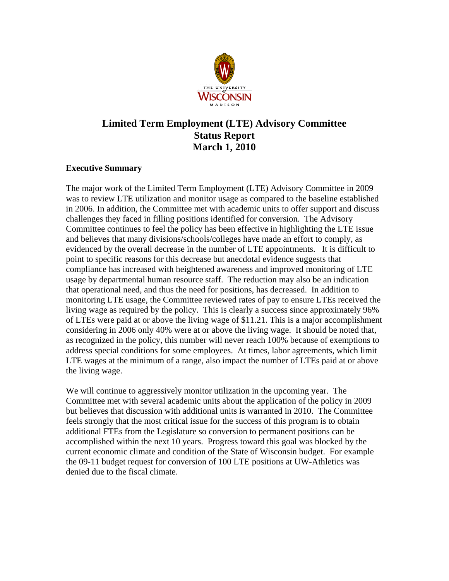

# **Limited Term Employment (LTE) Advisory Committee Status Report March 1, 2010**

## **Executive Summary**

The major work of the Limited Term Employment (LTE) Advisory Committee in 2009 was to review LTE utilization and monitor usage as compared to the baseline established in 2006. In addition, the Committee met with academic units to offer support and discuss challenges they faced in filling positions identified for conversion. The Advisory Committee continues to feel the policy has been effective in highlighting the LTE issue and believes that many divisions/schools/colleges have made an effort to comply, as evidenced by the overall decrease in the number of LTE appointments. It is difficult to point to specific reasons for this decrease but anecdotal evidence suggests that compliance has increased with heightened awareness and improved monitoring of LTE usage by departmental human resource staff. The reduction may also be an indication that operational need, and thus the need for positions, has decreased. In addition to monitoring LTE usage, the Committee reviewed rates of pay to ensure LTEs received the living wage as required by the policy. This is clearly a success since approximately 96% of LTEs were paid at or above the living wage of \$11.21. This is a major accomplishment considering in 2006 only 40% were at or above the living wage. It should be noted that, as recognized in the policy, this number will never reach 100% because of exemptions to address special conditions for some employees. At times, labor agreements, which limit LTE wages at the minimum of a range, also impact the number of LTEs paid at or above the living wage.

We will continue to aggressively monitor utilization in the upcoming year. The Committee met with several academic units about the application of the policy in 2009 but believes that discussion with additional units is warranted in 2010. The Committee feels strongly that the most critical issue for the success of this program is to obtain additional FTEs from the Legislature so conversion to permanent positions can be accomplished within the next 10 years. Progress toward this goal was blocked by the current economic climate and condition of the State of Wisconsin budget. For example the 09-11 budget request for conversion of 100 LTE positions at UW-Athletics was denied due to the fiscal climate.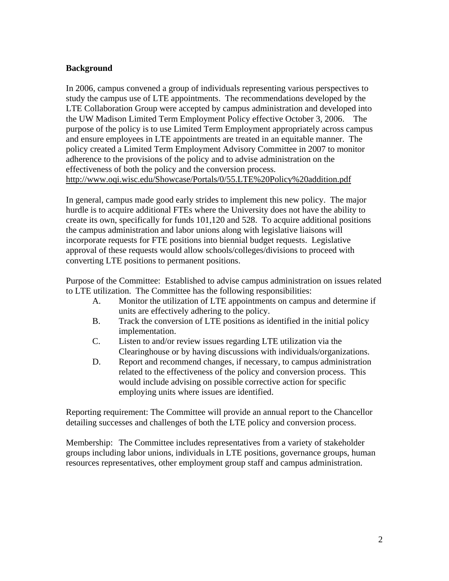# **Background**

In 2006, campus convened a group of individuals representing various perspectives to study the campus use of LTE appointments. The recommendations developed by the LTE Collaboration Group were accepted by campus administration and developed into the UW Madison Limited Term Employment Policy effective October 3, 2006. The purpose of the policy is to use Limited Term Employment appropriately across campus and ensure employees in LTE appointments are treated in an equitable manner. The policy created a Limited Term Employment Advisory Committee in 2007 to monitor adherence to the provisions of the policy and to advise administration on the effectiveness of both the policy and the conversion process. http://www.oqi.wisc.edu/Showcase/Portals/0/55.LTE%20Policy%20addition.pdf

In general, campus made good early strides to implement this new policy. The major hurdle is to acquire additional FTEs where the University does not have the ability to create its own, specifically for funds 101,120 and 528. To acquire additional positions the campus administration and labor unions along with legislative liaisons will incorporate requests for FTE positions into biennial budget requests. Legislative approval of these requests would allow schools/colleges/divisions to proceed with converting LTE positions to permanent positions.

Purpose of the Committee: Established to advise campus administration on issues related to LTE utilization. The Committee has the following responsibilities:

- A. Monitor the utilization of LTE appointments on campus and determine if units are effectively adhering to the policy.
- B. Track the conversion of LTE positions as identified in the initial policy implementation.
- C. Listen to and/or review issues regarding LTE utilization via the Clearinghouse or by having discussions with individuals/organizations.
- D. Report and recommend changes, if necessary, to campus administration related to the effectiveness of the policy and conversion process. This would include advising on possible corrective action for specific employing units where issues are identified.

Reporting requirement: The Committee will provide an annual report to the Chancellor detailing successes and challenges of both the LTE policy and conversion process.

Membership: The Committee includes representatives from a variety of stakeholder groups including labor unions, individuals in LTE positions, governance groups, human resources representatives, other employment group staff and campus administration.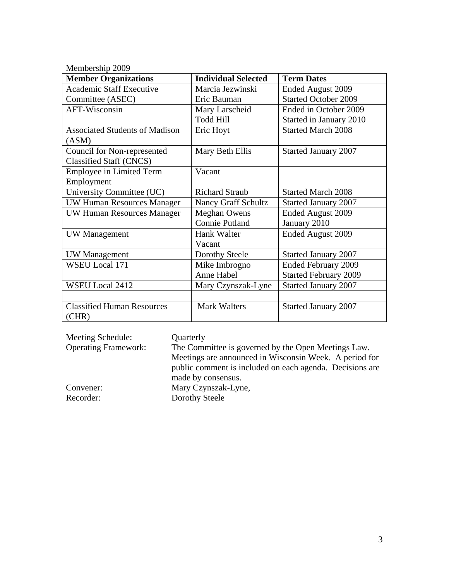Membership 2009

| <b>Member Organizations</b>                | <b>Individual Selected</b> | <b>Term Dates</b>            |
|--------------------------------------------|----------------------------|------------------------------|
| <b>Academic Staff Executive</b>            | Marcia Jezwinski           | Ended August 2009            |
| Committee (ASEC)                           | Eric Bauman                | <b>Started October 2009</b>  |
| AFT-Wisconsin                              | Mary Larscheid             | Ended in October 2009        |
|                                            | <b>Todd Hill</b>           | Started in January 2010      |
| <b>Associated Students of Madison</b>      | Eric Hoyt                  | <b>Started March 2008</b>    |
| (ASM)                                      |                            |                              |
| Council for Non-represented                | Mary Beth Ellis            | <b>Started January 2007</b>  |
| <b>Classified Staff (CNCS)</b>             |                            |                              |
| <b>Employee in Limited Term</b>            | Vacant                     |                              |
| Employment                                 |                            |                              |
| University Committee (UC)                  | <b>Richard Straub</b>      | <b>Started March 2008</b>    |
| <b>UW Human Resources Manager</b>          | Nancy Graff Schultz        | <b>Started January 2007</b>  |
| <b>UW Human Resources Manager</b>          | <b>Meghan Owens</b>        | Ended August 2009            |
|                                            | <b>Connie Putland</b>      | January 2010                 |
| UW Management                              | Hank Walter                | Ended August 2009            |
|                                            | Vacant                     |                              |
| <b>UW</b> Management                       | Dorothy Steele             | <b>Started January 2007</b>  |
| <b>WSEU Local 171</b>                      | Mike Imbrogno              | <b>Ended February 2009</b>   |
|                                            | Anne Habel                 | <b>Started February 2009</b> |
| <b>WSEU Local 2412</b>                     | Mary Czynszak-Lyne         | <b>Started January 2007</b>  |
|                                            |                            |                              |
| <b>Classified Human Resources</b><br>(CHR) | <b>Mark Walters</b>        | <b>Started January 2007</b>  |

| Meeting Schedule:           | Quarterly                                                |
|-----------------------------|----------------------------------------------------------|
| <b>Operating Framework:</b> | The Committee is governed by the Open Meetings Law.      |
|                             | Meetings are announced in Wisconsin Week. A period for   |
|                             | public comment is included on each agenda. Decisions are |
|                             | made by consensus.                                       |
| Convener:                   | Mary Czynszak-Lyne,                                      |
| Recorder:                   | Dorothy Steele                                           |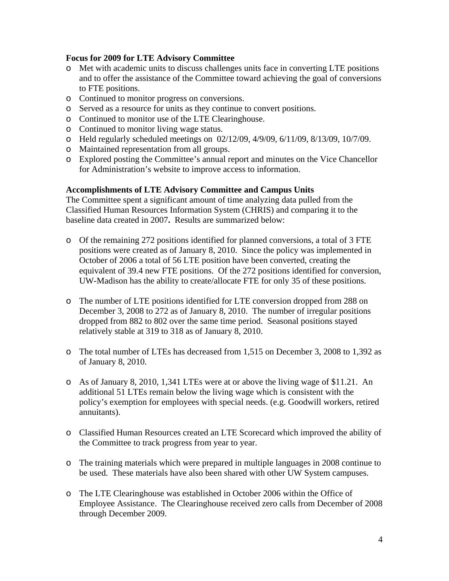## **Focus for 2009 for LTE Advisory Committee**

- o Met with academic units to discuss challenges units face in converting LTE positions and to offer the assistance of the Committee toward achieving the goal of conversions to FTE positions.
- o Continued to monitor progress on conversions.
- o Served as a resource for units as they continue to convert positions.
- o Continued to monitor use of the LTE Clearinghouse.
- o Continued to monitor living wage status.
- o Held regularly scheduled meetings on 02/12/09, 4/9/09, 6/11/09, 8/13/09, 10/7/09.
- o Maintained representation from all groups.
- o Explored posting the Committee's annual report and minutes on the Vice Chancellor for Administration's website to improve access to information.

## **Accomplishments of LTE Advisory Committee and Campus Units**

The Committee spent a significant amount of time analyzing data pulled from the Classified Human Resources Information System (CHRIS) and comparing it to the baseline data created in 2007**.** Results are summarized below:

- o Of the remaining 272 positions identified for planned conversions, a total of 3 FTE positions were created as of January 8, 2010. Since the policy was implemented in October of 2006 a total of 56 LTE position have been converted, creating the equivalent of 39.4 new FTE positions. Of the 272 positions identified for conversion, UW-Madison has the ability to create/allocate FTE for only 35 of these positions.
- o The number of LTE positions identified for LTE conversion dropped from 288 on December 3, 2008 to 272 as of January 8, 2010. The number of irregular positions dropped from 882 to 802 over the same time period. Seasonal positions stayed relatively stable at 319 to 318 as of January 8, 2010.
- o The total number of LTEs has decreased from 1,515 on December 3, 2008 to 1,392 as of January 8, 2010.
- o As of January 8, 2010, 1,341 LTEs were at or above the living wage of \$11.21. An additional 51 LTEs remain below the living wage which is consistent with the policy's exemption for employees with special needs. (e.g. Goodwill workers, retired annuitants).
- o Classified Human Resources created an LTE Scorecard which improved the ability of the Committee to track progress from year to year.
- o The training materials which were prepared in multiple languages in 2008 continue to be used. These materials have also been shared with other UW System campuses.
- o The LTE Clearinghouse was established in October 2006 within the Office of Employee Assistance. The Clearinghouse received zero calls from December of 2008 through December 2009.